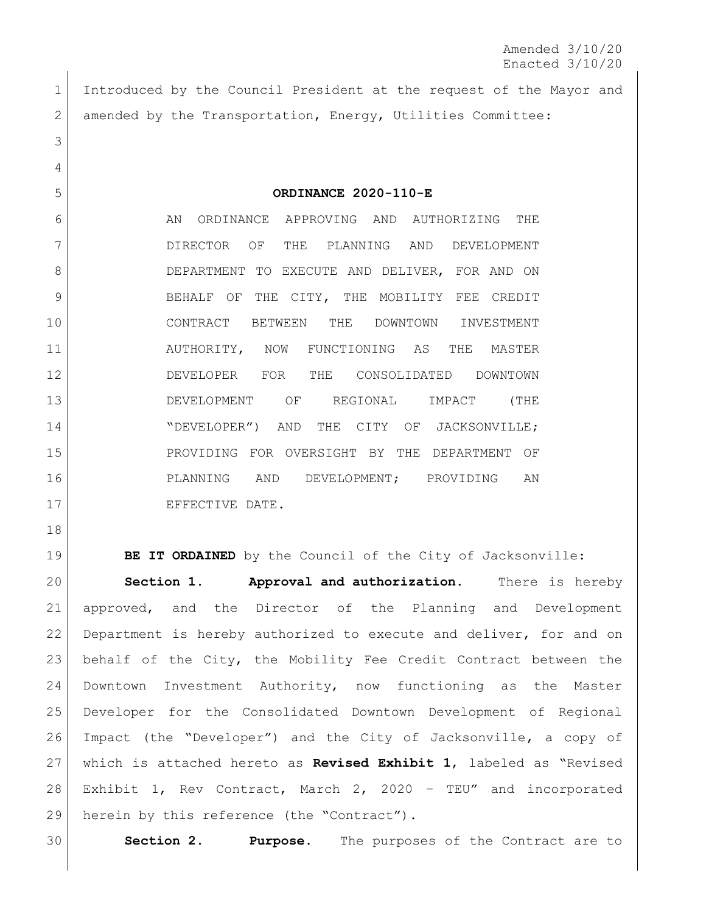Amended 3/10/20 Enacted 3/10/20

 Introduced by the Council President at the request of the Mayor and 2 amended by the Transportation, Energy, Utilities Committee: 

**ORDINANCE 2020-110-E**

6 AN ORDINANCE APPROVING AND AUTHORIZING THE DIRECTOR OF THE PLANNING AND DEVELOPMENT 8 DEPARTMENT TO EXECUTE AND DELIVER, FOR AND ON 9 BEHALF OF THE CITY, THE MOBILITY FEE CREDIT CONTRACT BETWEEN THE DOWNTOWN INVESTMENT 11 AUTHORITY, NOW FUNCTIONING AS THE MASTER DEVELOPER FOR THE CONSOLIDATED DOWNTOWN DEVELOPMENT OF REGIONAL IMPACT (THE 14 "DEVELOPER") AND THE CITY OF JACKSONVILLE; PROVIDING FOR OVERSIGHT BY THE DEPARTMENT OF PLANNING AND DEVELOPMENT; PROVIDING AN 17 EFFECTIVE DATE.

19 | **BE IT ORDAINED** by the Council of the City of Jacksonville: **Section 1. Approval and authorization.** There is hereby approved, and the Director of the Planning and Development Department is hereby authorized to execute and deliver, for and on behalf of the City, the Mobility Fee Credit Contract between the Downtown Investment Authority, now functioning as the Master Developer for the Consolidated Downtown Development of Regional Impact (the "Developer") and the City of Jacksonville, a copy of which is attached hereto as **Revised Exhibit 1**, labeled as "Revised Exhibit 1, Rev Contract, March 2, 2020 – TEU" and incorporated 29 herein by this reference (the "Contract").

**Section 2. Purpose.** The purposes of the Contract are to